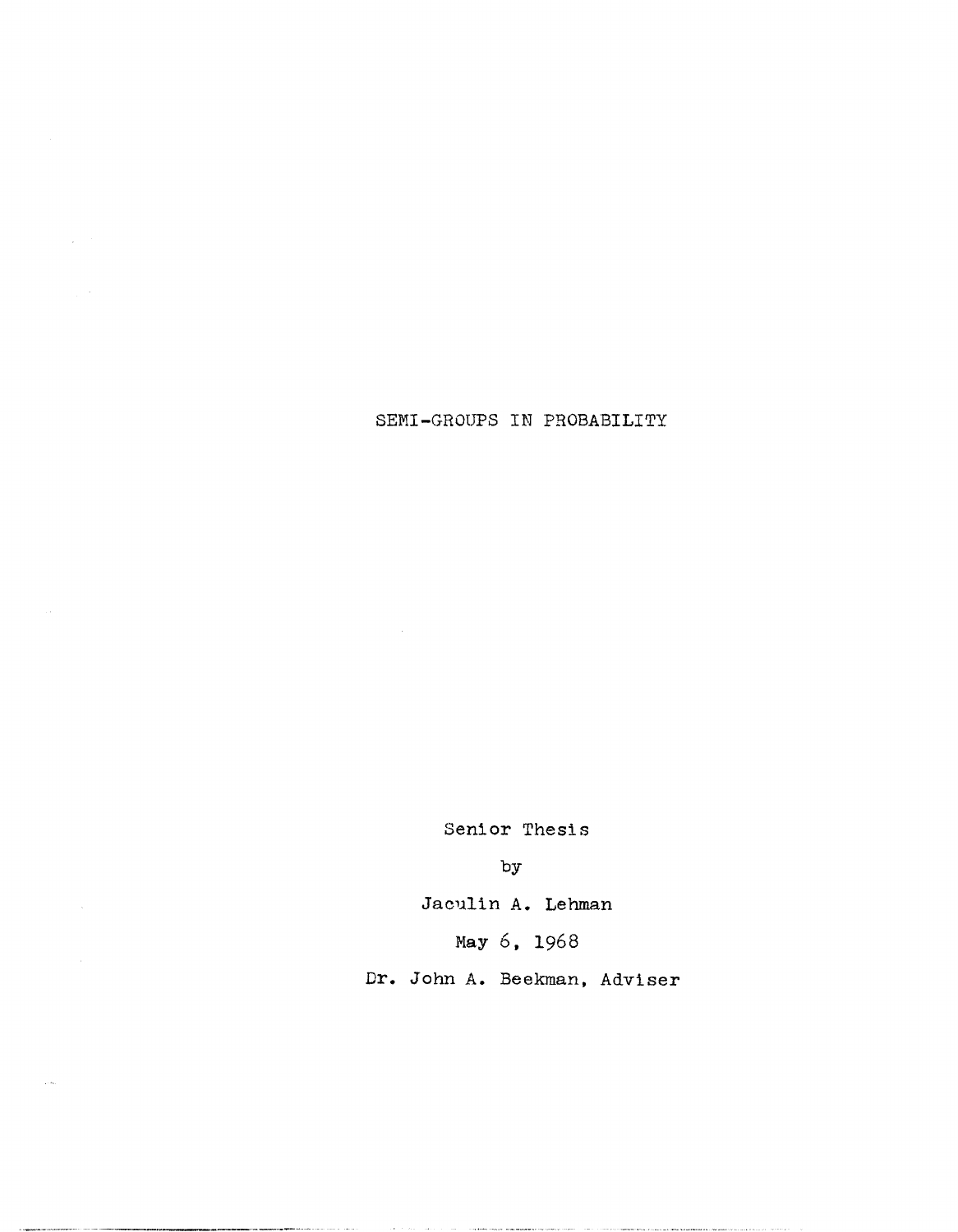SEMI-GROUPS IN PROBABILITY

 $\mathcal{A}^{\mathcal{A}}$ 

 $\mathcal{L}_{\rm{max}}$ 

 $\langle \rangle$ 

Senior Thesis

by

Jaculin A. Lehman

Nay 6, 1968

Dr. John A. Beekman, Adviser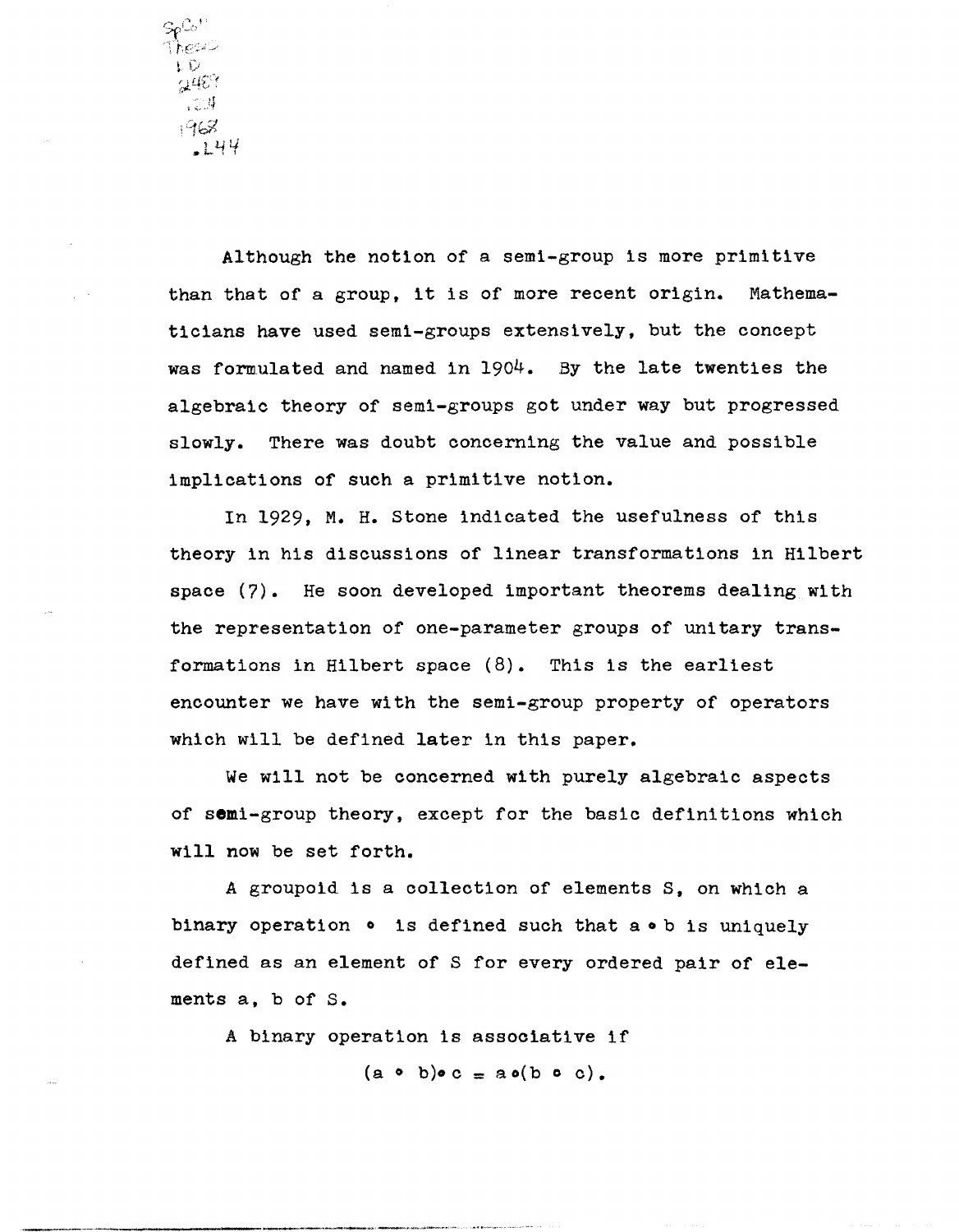.<br>hrst េប ାଣ୍ଡେ  $\sim$  $1968$  $L44$ 

Although the notion of a semi-group is more primitive than that of a group. it is of more recent origin. Mathematicians have used semi-groups extensively. but the concept was formulated and named in  $1904.$  By the late twenties the algebraic theory of semi-groups got under way but progressed slowly. There was doubt concerning the value and possible implications of such a primitive notion.

In 1929. M. H. stone indicated the usefulness of this theory in his discussions of linear transformations in Hilbert space (7). He soon developed important theorems dealing with the representation of one-parameter groups of unitary transformations in Hilbert space (8). This is the earliest encounter we have with the semi-group property of operators which will be defined later in this paper.

We will not be concerned with purely algebraic aspects of semi-group theory, except for the basic definitions which will now be set forth.

A groupoid is a collection of elements S. on which a binary operation  $\circ$  is defined such that a  $\circ$  b is uniquely defined as an element of S for every ordered pair of elements a. b of S.

A binary operation is associative if

\_\_\_\_\_\_\_ - \_\_\_\_ .. \_ . .>0...-."'.-.-... ~'.'~ .. ~~.\_.~\_,~

 $(a \circ b)\circ c = a o(b \circ c)$ .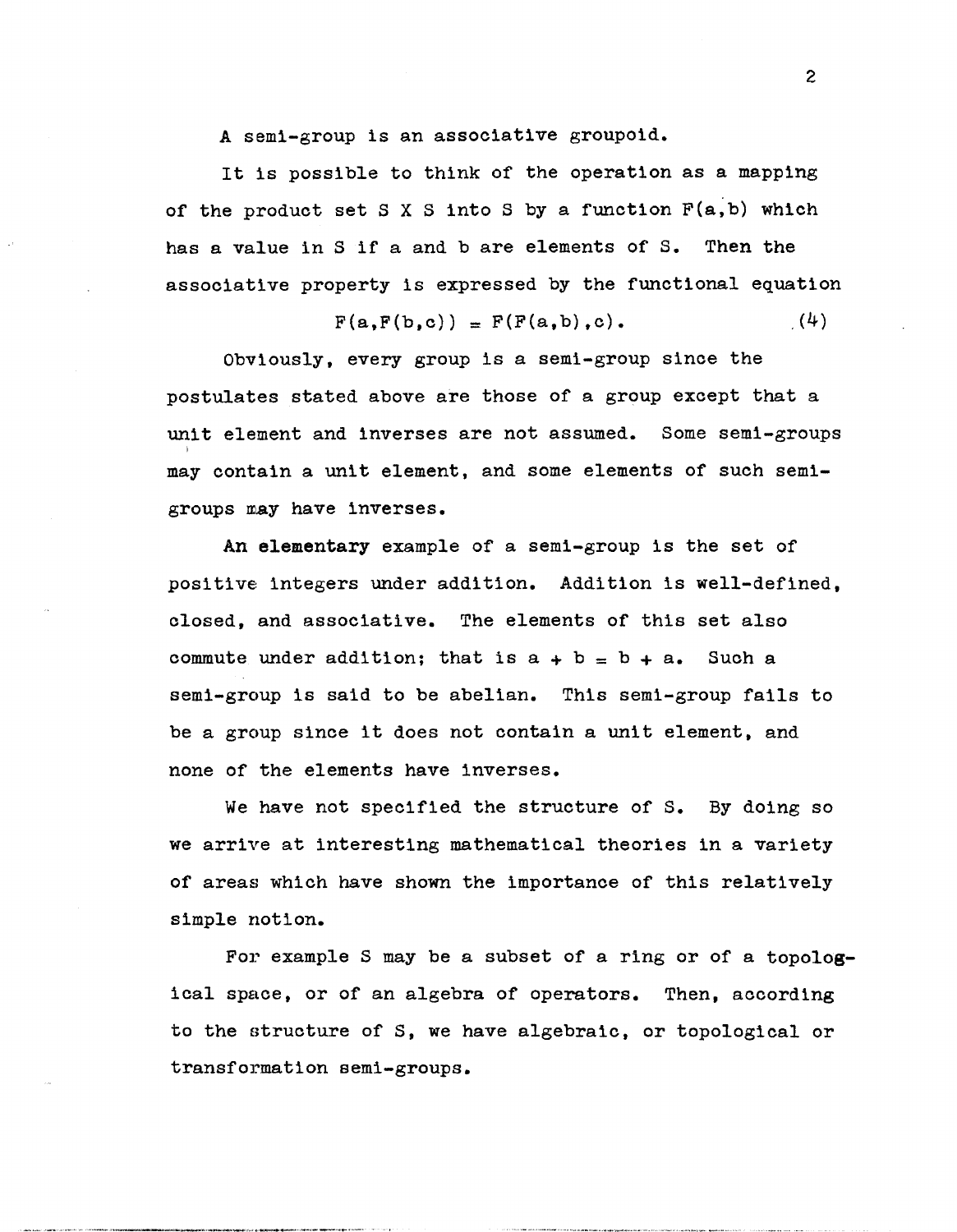A semi-group is an associative groupoid.

It is possible to think of the operation as a mapping of the product set S X S into S by a function  $F(a,b)$  which has a value in S if a and b are elements of S. Then the associative property is expressed by the functional equation

$$
F(a,F(b,c)) = F(F(a,b),c).
$$
 (4)

Obviously, every group is a semi-group since the postulates stated above are those of a group except that a unit element and inverses are not assumed. Some semi-groups may contain a unit element, and some elements of such semigroups may have inverses.

An elementary example of a semi-group is the set of positive integers under addition. Addition is well-defined. closed, and associative. The elements of this set also commute under addition; that is  $a + b = b + a$ . Such a semi-group is said to be abelian. This semi-group fails to be a group since it does not contain a unit element, and none of the elements have inverses.

We have not specified the structure of S. By doing so we arrive at interesting mathematical theories in a variety of areas which have shown the importance of this relatively simple notion.

For example S may be a subset of a ring or of a topological space. or of an algebra of operators. Then. according to the structure of S, we have algebraic, or topological or transformation semi-groups.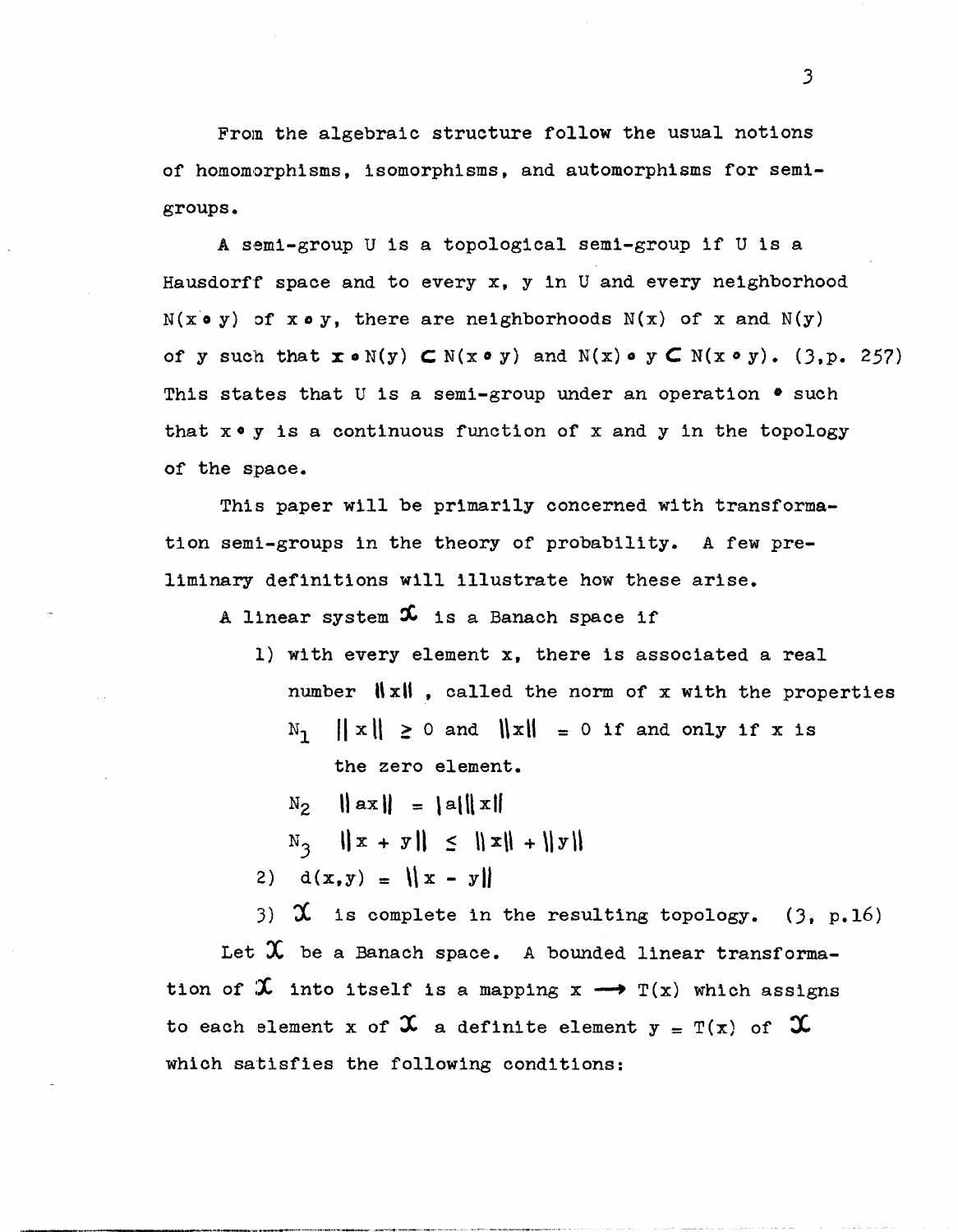From the algebraic structure follow the usual notions of homomorphisms, isomorphisms, and automorphisms for semigroups.

A semi-group U is a topological semi-group if U is a Hausdorff space and to every x, y in U and every neighborhood  $N(x \circ y)$  of  $x \circ y$ , there are neighborhoods  $N(x)$  of x and  $N(y)$ of y such that  $x \circ N(y)$   $\subset N(x \circ y)$  and  $N(x) \circ y$   $\subset N(x \circ y)$ . (3,p. 257) This states that U is a semi-group under an operation  $\bullet$  such that  $x \cdot y$  is a continuous function of  $x$  and  $y$  in the topology of the space.

This paper will be primarily concerned with transformation semi-groups in the theory of probability. A few preliminary definitions will illustrate how these arise.

A linear system  $x$  is a Banach space if

- 1) with every element x, there is associated a real number  $||x||$ , called the norm of x with the properties  $\mathbb{N}_1$   $\|\mathbf{x}\| \ge 0$  and  $\|\mathbf{x}\| = 0$  if and only if x is the zero element.
	- $N_2$   $\|ax\| = \|a\| \|x\|$
	- $N_3$   $\|x + y\| \leq \|x\| + \|y\|$
- 2)  $d(x,y) = ||x y||$

3)  $\chi$  is complete in the resulting topology. (3, p.16)

Let  $\mathfrak X$  be a Banach space. A bounded linear transformation of  $\mathfrak X$  into itself is a mapping  $x \longrightarrow T(x)$  which assigns to each element x of  $\mathfrak X$  a definite element  $y = T(x)$  of  $\mathfrak X$ which satisfies the following conditions: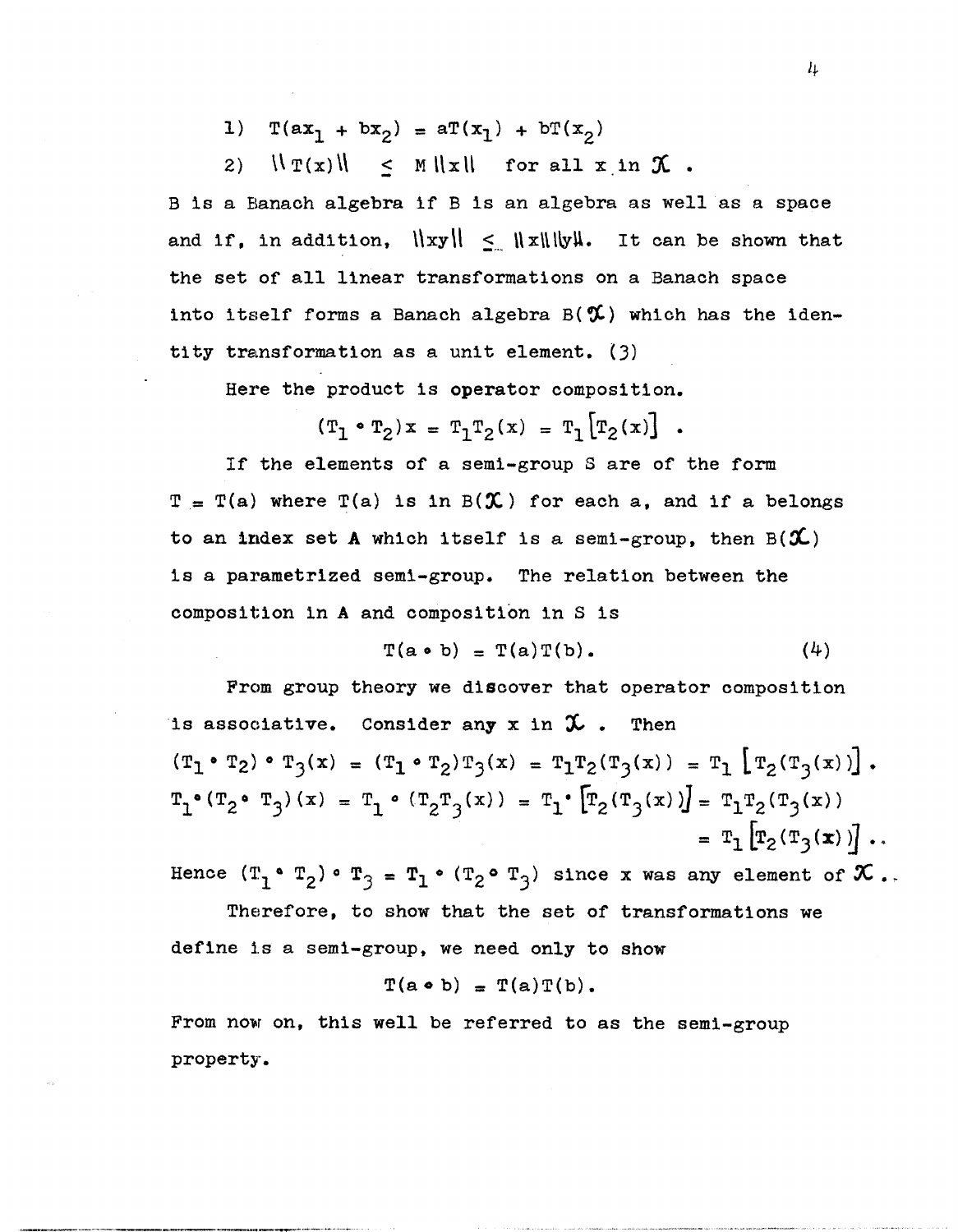1)  $T(ax_1 + bx_2) = aT(x_1) + bT(x_2)$ 

2)  $\|\Gamma(x) \| \leq M \|x\|$  for all  $x$  in  $\mathcal X$ .

B is a Banach algebra if B is an algebra as well as a space and if, in addition,  $\|xy\| \leq \|x\|\|y\|$ . It can be shown that the set of all linear transformations on a Banach space into itself forms a Banach algebra  $B(\mathcal{X})$  which has the identity transformation as a unit element.  $(3)$ 

Here the product is operator composition.

$$
(T_1 \cdot T_2) x = T_1 T_2(x) = T_1 [T_2(x)]
$$
.

If the elements of a semi-group S are of the form  $T = T(a)$  where  $T(a)$  is in  $B({\mathcal{X}})$  for each a, and if a belongs to an index set A which itself is a semi-group, then  $B(\mathcal{X})$ is a parametrized semi-group. The relation between the composition In A and composition in S is

$$
T(a \cdot b) = T(a)T(b).
$$
 (4)

From group theory we discover that operator composition is associative. Consider any x in  $\mathcal X$ . Then  $(T_1 \cdot T_2) \cdot T_3(x) = (T_1 \cdot T_2)T_3(x) = T_1T_2(T_3(x)) = T_1 \left[T_2(T_3(x))\right].$  $\mathbf{T_1} \bullet (\mathbf{T_2} \bullet \mathbf{T_3}) \, (\,x) \,\, = \,\, \mathbf{T_1} \bullet \, (\, \mathbf{T_2} \mathbf{T_3} \, (\,x) \,)\,\, = \,\, \mathbf{T_1} \bullet \, \big[ \mathbf{T_2} \, (\, \mathbf{T_3} \, (\,x \,)\, ) \big] = \,\, \mathbf{T_1} \mathbf{T_2} \, (\, \mathbf{T_3} \, (\,x \,)\, )$ =  $T_1 \left[ T_2(T_3(x)) \right]$ .

Hence  $(T_1 \cdot T_2) \cdot T_3 = T_1 \cdot (T_2 \cdot T_3)$  since x was any element of  $\mathcal X$ .

Therefore, to show that the set of transformations we define 1s a semi-group, we need only to show

$$
T(a \bullet b) = T(a)T(b).
$$

From now on, this well be referred to as the semi-group property.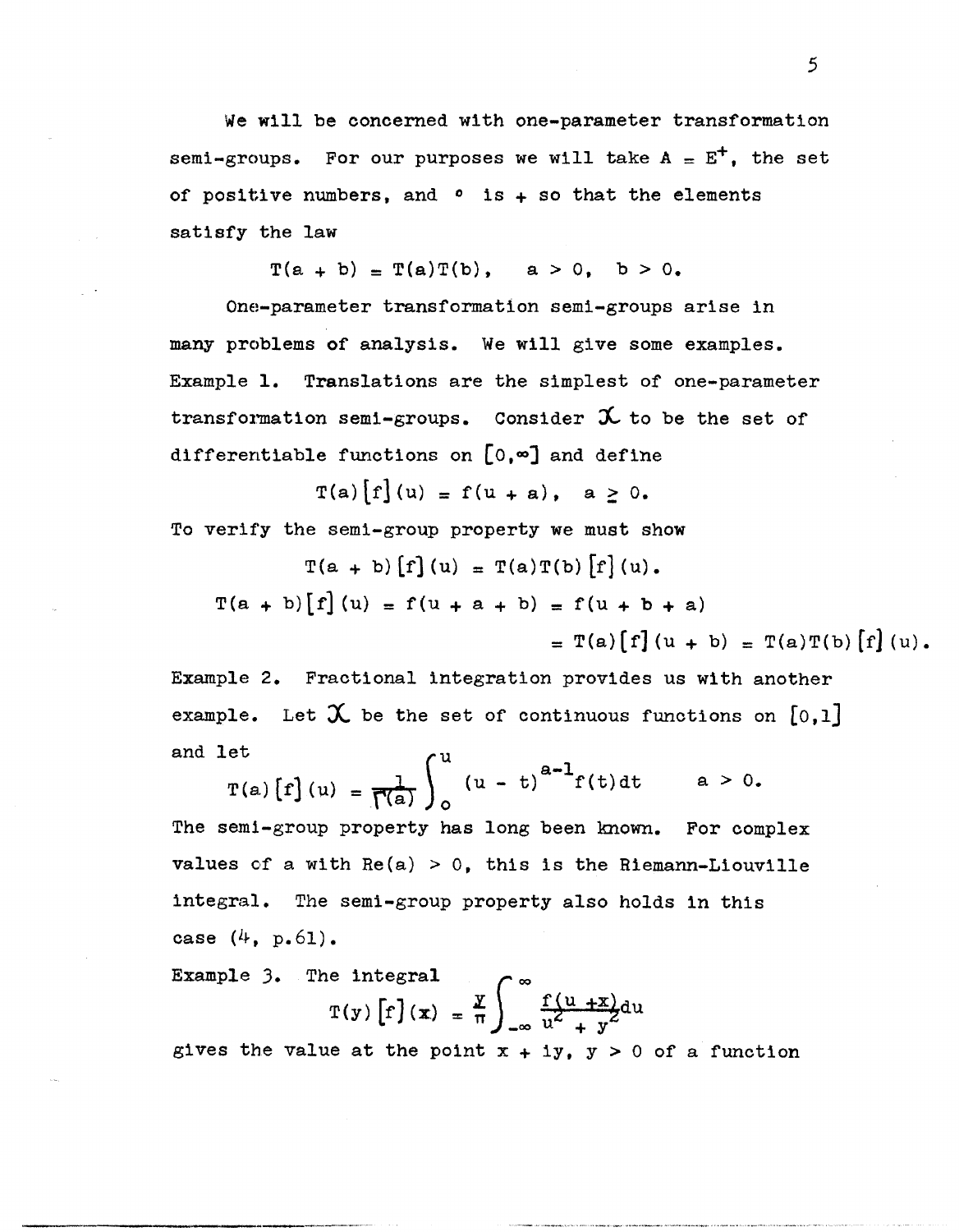We will be concerned with one-parameter transformation semi-groups. For our purposes we will take  $A = E^+$ , the set of positive numbers, and  $\circ$  is  $+$  so that the elements satisfy the law

 $T(a + b) = T(a)T(b)$ ,  $a > 0$ ,  $b > 0$ .

One-parameter transformation semi-groups arise in many problems of analysis. We will give some examples. Example 1. Translations are the simplest of one-parameter transformation semi-groups. Consider  $\mathcal X$  to be the set of differentiable functions on  $[0, \infty]$  and define

 $T(a)[f](u) = f(u + a)$ ,  $a > 0$ .

To verify the semi-group property we must show

$$
T(a + b) [f](u) = T(a)T(b) [f](u).
$$
  
\n
$$
T(a + b) [f](u) = f(u + a + b) = f(u + b + a)
$$
  
\n
$$
= T(a) [f](u + b) = T(a)T(b) [f](u).
$$

Example 2. Fractional integration provides us with another example. Let  $\mathfrak X$  be the set of continuous functions on [0,1] and let  $\qquad \qquad \text{or}$ 

$$
T(a) [f](u) = \frac{1}{\Gamma(a)} \int_{0}^{u} (u - t)^{a-1} f(t) dt \qquad a > 0.
$$

The semi-group property has long been known. For complex values of a with  $Re(a) > 0$ , this is the Riemann-Liouville integral. The semi-group property also holds in this case  $(4, p.61)$ .

Example 3. The integral  

$$
T(y) \left[ f \right](x) = \frac{y}{\pi} \int_{-\infty}^{\infty} \frac{f(u+x)}{u^2 + y^2} du
$$

gives the value at the point  $x + iy$ ,  $y > 0$  of a function

-------~--.----.-...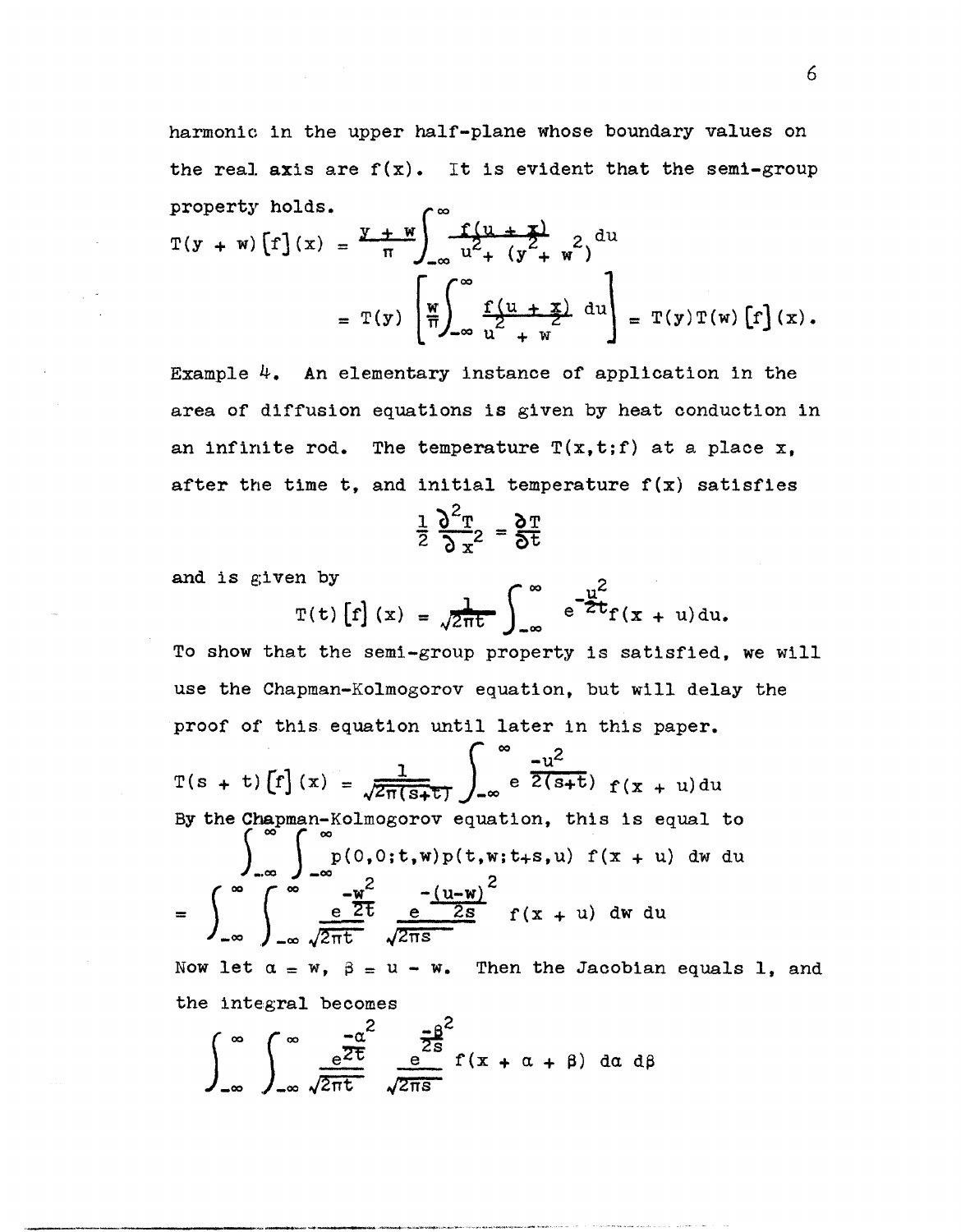harmonic in the upper half-plane whose boundary values on the real axis are  $f(x)$ . It is evident that the semi-group property holds.  $\sim$   $\infty$ 

$$
T(y + w) [f](x) = \frac{y + w}{\pi} \int_{-\infty}^{\infty} \frac{f(u + x)}{u^2 + (y^2 + w^2)} du
$$
  
=  $T(y) \left[ \frac{w}{\pi} \int_{-\infty}^{\infty} \frac{f(u + x)}{u^2 + w} du \right] = T(y) T(w) [f](x).$ 

Example 4. An elementary instance of application in the area of diffusion equations is given by heat conduction in an infinite rod. The temperature  $T(x,t;f)$  at a place x, after the time t, and initial temperature  $f(x)$  satisfies

$$
\frac{1}{2}\frac{\partial^2 \mathbf{T}}{\partial \mathbf{x}^2} = \frac{\partial \mathbf{T}}{\partial \mathbf{t}}
$$

and is given by

$$
2 \frac{1}{2}x^{2} = 60
$$
  
or  

$$
T(t) \left[ f \right](x) = \sqrt{2\pi t} \int_{-\infty}^{\infty} e^{-\frac{u^{2}}{2}t} f(x + u) du
$$

 $\ddot{\phantom{a}}$ 

To show that the semi-group property is satisfied, we will use the Chapman-Kolmogorov equation, but will delay the proof of' this equation until later in this paper.

$$
T(s + t)[f](x) = \frac{1}{\sqrt{2\pi(s+t)}} \int_{-\infty}^{\infty} e^{-u^2} \frac{-u^2}{2(s+t)} f(x+u) du
$$
  
By the Chapman-Kolmogorov equation, this is equal to  

$$
\int_{-\infty}^{\infty} \int_{-\infty}^{\infty} \frac{e^{-u^2}}{2t} \frac{e^{-\frac{(u-w)}{2s}}}{\sqrt{2\pi s}} f(x+u) dw du
$$

$$
= \int_{-\infty}^{\infty} \int_{-\infty}^{\infty} \frac{e^{-\frac{u^2}{2s}}}{\sqrt{2\pi t}} \frac{e^{-\frac{(u-w)}{2s}}}{\sqrt{2\pi s}} f(x+u) dw du
$$

Now let  $\alpha = w$ ,  $\beta = u - w$ . Then the Jacobian equals 1, and the integral becomes

$$
\int_{-\infty}^{\infty} \int_{-\infty}^{\infty} \frac{e^{\frac{-\alpha^2}{2t}}}{\sqrt{2\pi t}} \frac{e^{\frac{-\beta^2}{2s}}}{\sqrt{2\pi s}} f(x + \alpha + \beta) da d\beta
$$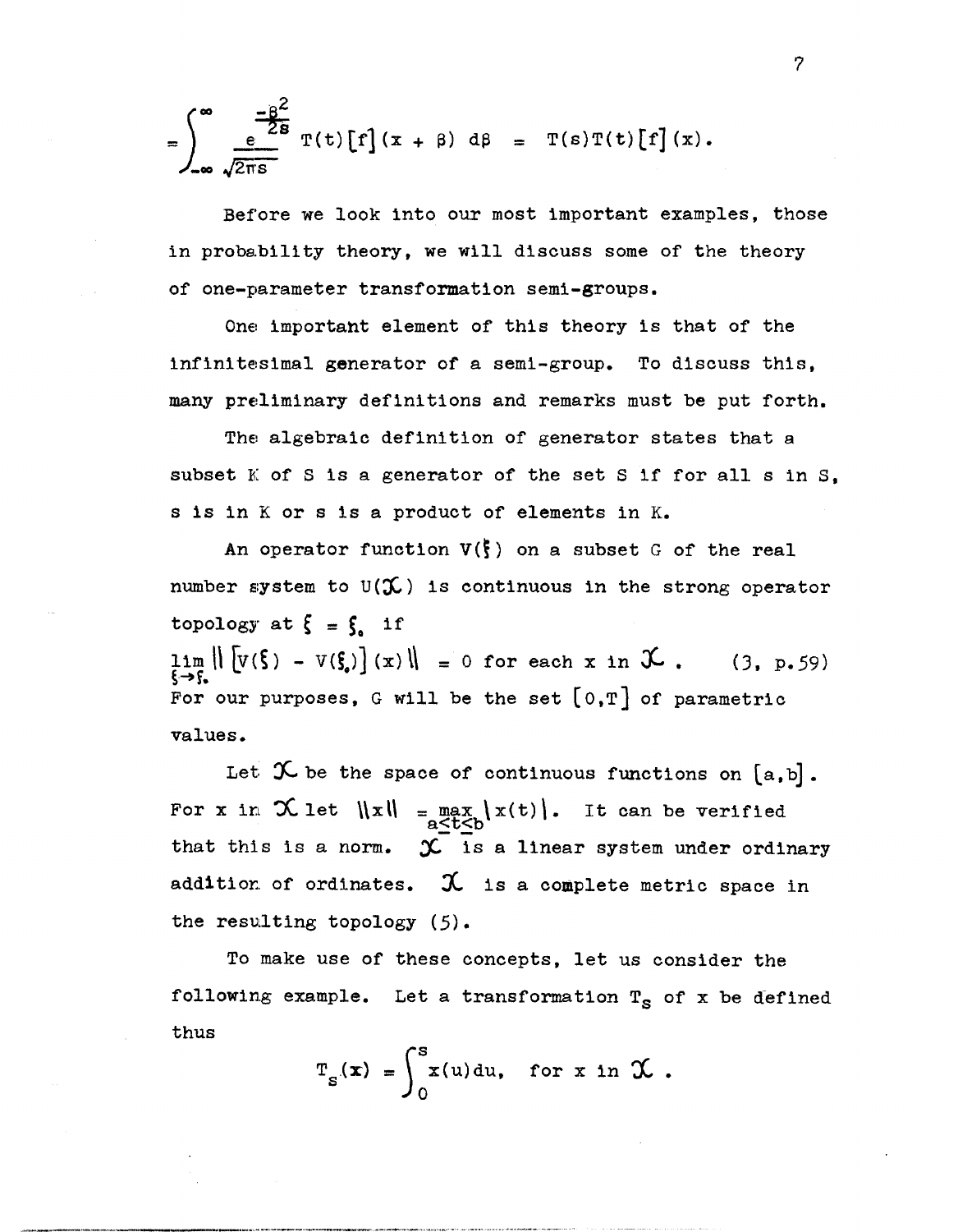$$
= \int_{-\infty}^{\infty} \frac{-\beta^2}{\sqrt{2\pi s}} \, \mathrm{T}(t) \, [f](x + \beta) \, d\beta = \mathrm{T}(s) \mathrm{T}(t) \, [f](x).
$$

Before we look into our most important examples, those in probability theory, we will discuss some of the theory of one-parameter transformation semi-groups.

One important element of this theory is that of the infinitesimal generator of a semi-group. To discuss this. many preliminary definitions and remarks must be put forth.

The algebraic definition of generator states that a subset  $K$  of  $S$  is a generator of the set  $S$  if for all  $S$  in  $S$ . s is in K or s is a product of elements in K.

An operator function  $V(\xi)$  on a subset G of the real number system to  $U(\mathcal{X})$  is continuous in the strong operator topology at  $\zeta = \zeta$  if  $\lim_{\xi \to \xi_*} || [v(\xi) - v(\xi)] (x)|| = 0$  for each x in  $\mathcal{X}$ . (3, p.59) For our purposes, G will be the set  $[0,T]$  of parametric values.

Let  $\mathcal X$  be the space of continuous functions on  $[a, b]$ . For x in  $\mathcal{X}$  let  $\|x\| = \max_{a \leq t \leq b} |x(t)|$ . It can be verified that this is a norm.  $\mathcal{X}$  is a linear system under ordinary addition of ordinates.  $\mathcal{X}$  is a complete metric space in the resulting topology (5).

To make use of these concepts, let us consider the following example. Let a transformation  $T_S$  of x be defined thus

$$
T_{S}(\mathbf{x}) = \int_{0}^{S} x(u) du, \text{ for } x \text{ in } \mathcal{X}.
$$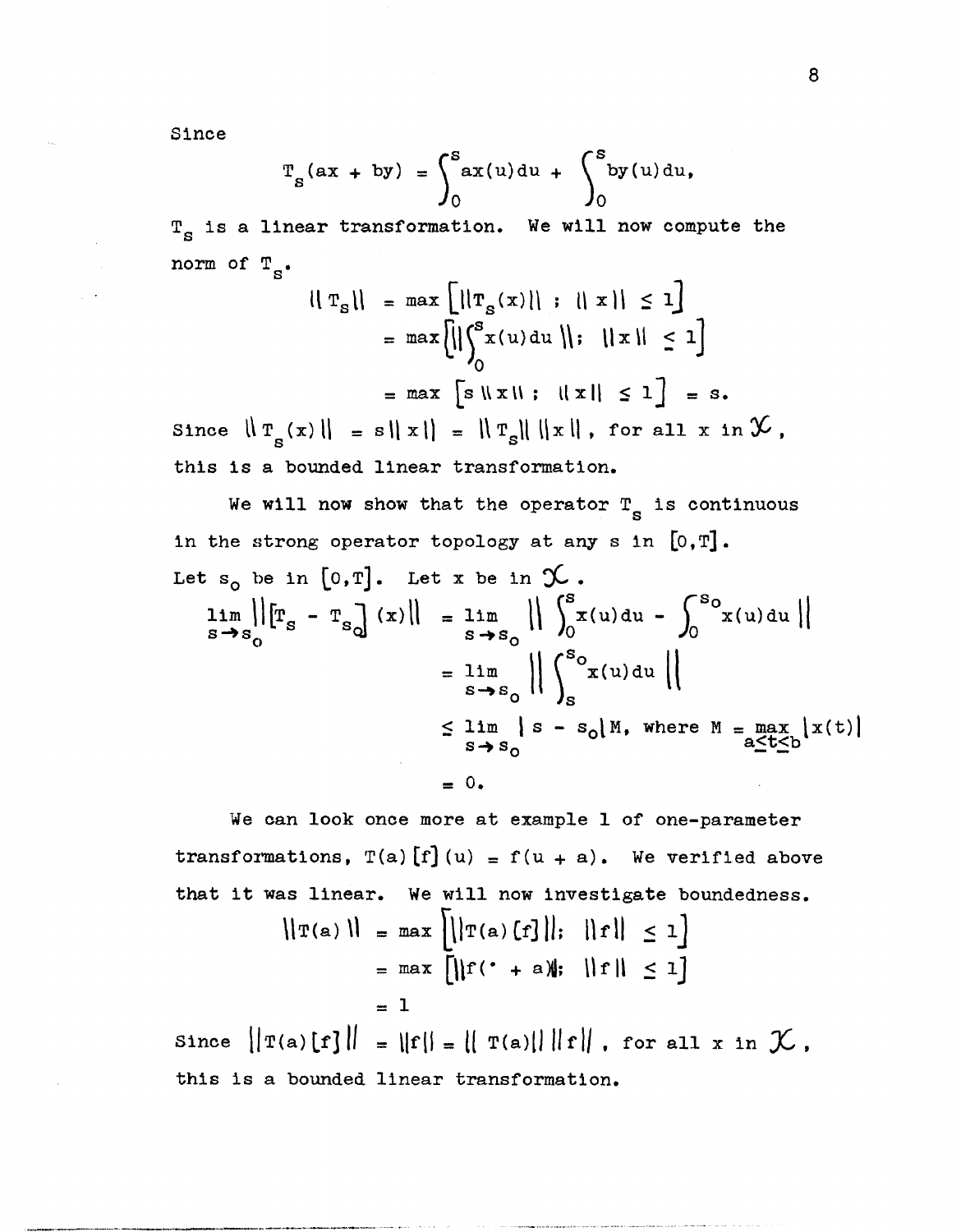Since

$$
T_{S}(\mathbf{a}x + \mathbf{b}y) = \int_{0}^{S} \mathbf{a}x(u) \, du + \int_{0}^{S} \mathbf{b}y(u) \, du,
$$

 $T_S$  is a linear transformation. We will now compute the norm of  $T_s$ .

$$
\|\mathbf{T}_{s}\| = \max\left[\|\mathbf{T}_{s}(x)\| : \|\mathbf{x}\| \leq 1\right]
$$

$$
= \max\left[\|\int_{0}^{s} x(u) du\| : \|\mathbf{x}\| \leq 1\right]
$$

$$
= \max\left[s \|\mathbf{x}\| : \|\mathbf{x}\| \leq 1\right] = s.
$$
Since  $\|\mathbf{T}_{s}(x)\| = s \|\mathbf{x}\| = \|\mathbf{T}_{s}\| \|\mathbf{x}\|$ , for all  $x \in \mathcal{Y}$ , this is a bounded linear transformation.

We will now show that the operator  $r_s$  is continuous in the strong operator topology at any s in  $[0, T]$ . Let  $s_n$  be in [0.T]. Let x be in  $\chi$ 

$$
\lim_{s \to s_0} ||[T_s - T_s] (x)|| = \lim_{s \to s_0} || \int_0^s x(u) du - \int_0^s x(u) du ||
$$
  
\n
$$
= \lim_{s \to s_0} || \int_s^{s_0} x(u) du ||
$$
  
\n
$$
\leq \lim_{s \to s_0} |s - s_0| M, \text{ where } M = \max_{a \leq t \leq b} |x(t)|
$$
  
\n
$$
= 0.
$$

We can look once more at example 1 of one-parameter transformations,  $T(a) [f](u) = f(u + a)$ . We verified above that it was linear. We will now investigate boundedness.

$$
\|\mathbf{T}(a)\| = \max\left[\left\|\mathbf{T}(a)[f]\right\|; \|f\| \le 1\right]
$$

$$
= \max\left[\left\|\mathbf{f}' + a\right\|; \|f\| \le 1\right]
$$

$$
= 1
$$
Since  $\|\mathbf{T}(a)[f]\| = \|\mathbf{f}\| = \|f\| = \|T(a)\| \|f\|$ , for all x in  $\mathcal{K}$ , this is a bounded linear transformation.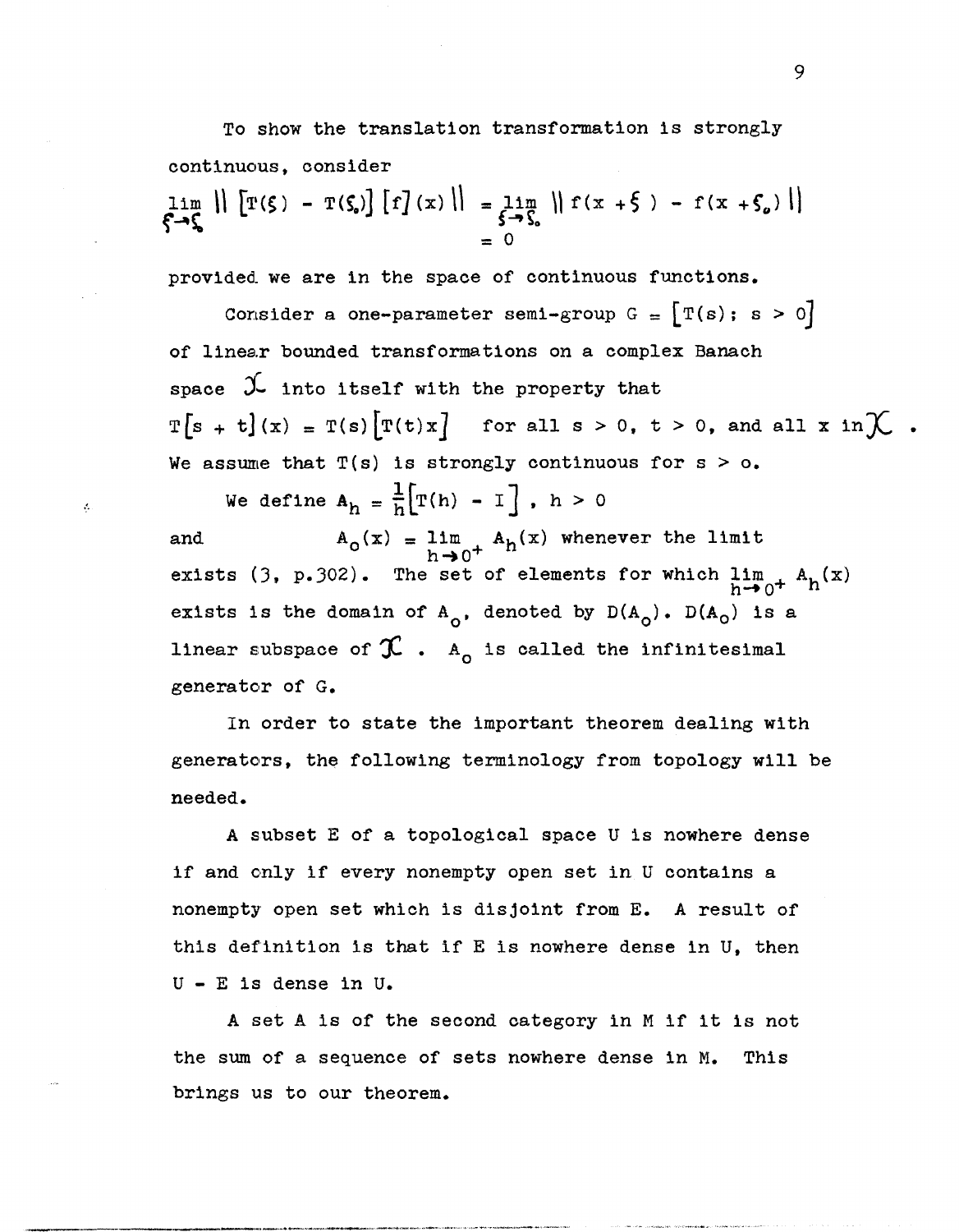To show the translation transformation is strongly continuous, consider  $\lim_{\xi \to \zeta} \|\ [T(\xi) - T(\zeta_s)] [f](x) \| = \lim_{\xi \to \zeta_s} \| f(x + \xi) - f(x + \zeta_s) \|$  $= 0$ 

provided. we are in the space of continuous functions.

Consider a one-parameter semi-group  $G = [T(s); s > 0]$ of linear bounded transformations on a complex Banach space  $\mathcal{L}$  into itself with the property that  $T[s + t](x) = T(s) [T(t)x]$  for all  $s > 0$ ,  $t > 0$ , and all x in  $\mathcal{K}$ . We assume that  $T(s)$  is strongly continuous for  $s > 0$ .

We define  $A_h = \frac{1}{h} \left[ T(h) - I \right]$ ,  $h > 0$ 

 $\ddot{\mathcal{L}}$ 

and  $A_0(x) = \lim_{h \to 0} A_h(x)$  whenever the limit  $h\rightarrow 0^+$ exists (3, p.302). The set of elements for which  $\lim_{h\to 0^+} A_h(x)$ exists is the domain of  $A_0$ , denoted by  $D(A_0)$ .  $D(A_0)$  is a linear subspace of  $\operatorname{\mathfrak{X}}$ .  $A_0$  is called the infinitesimal generator of G.

In order to state the important theorem dealing with generators, the following terminology from topology will be needed.

A subset E of a topological space U is nowhere dense if and only if every nonempty open set in U contains a nonempty open set which is disjoint from E. A result of this definition is that if E is nowhere dense in U, then U - E is dense in U.

A set A is of the second category in M if it is not the sum of a sequence of sets nowhere dense in M. This brings us to our theorem.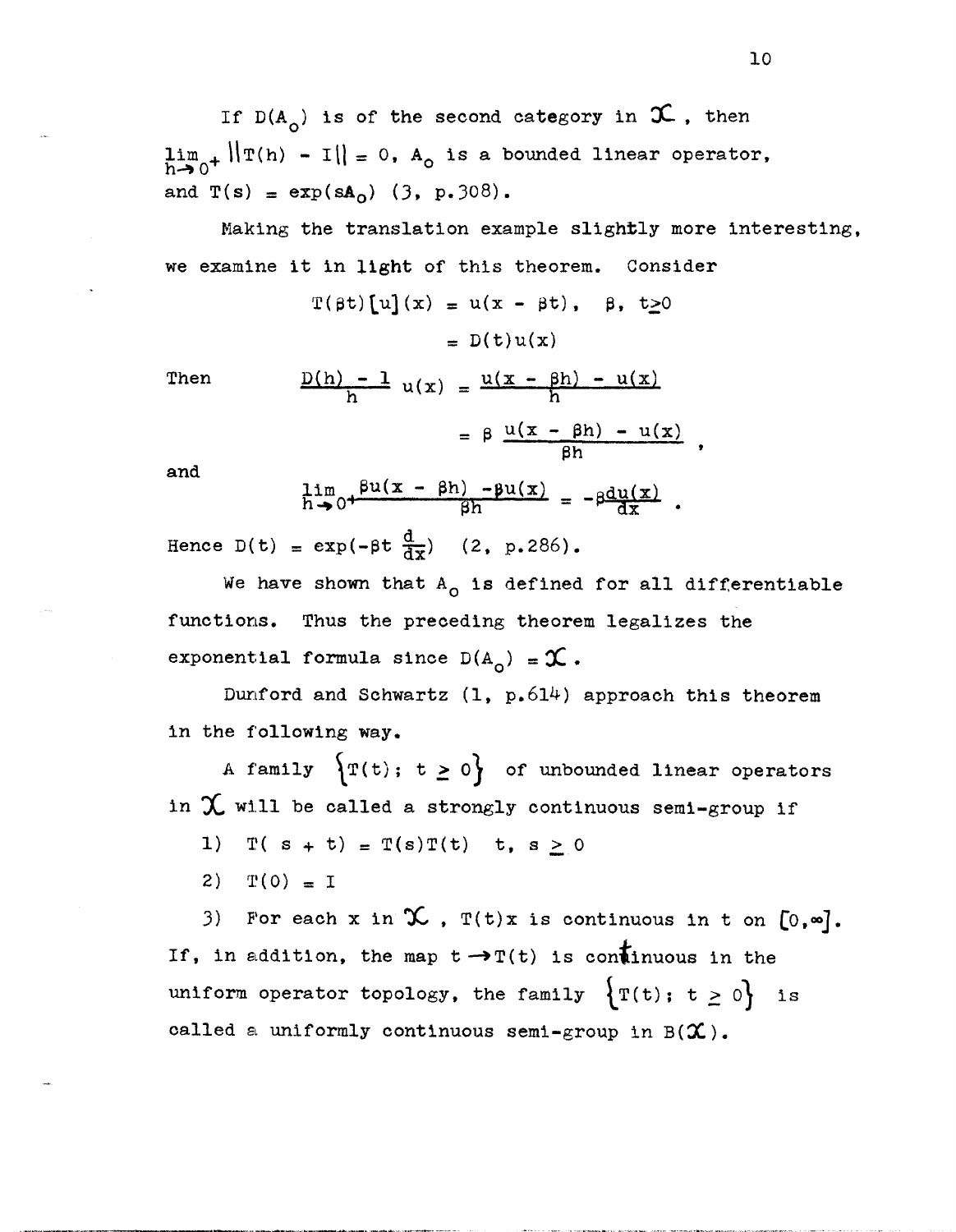If  $D(A_{\alpha})$  is of the second category in  $\mathfrak{X}$ , then  $\lim_{h\to 0^+} \|\mathbf{T}(h) - \mathbf{I}\| = 0$ ,  $A_0$  is a bounded linear operator, and  $T(s) = exp(sA_0)$  (3, p.308).

Making the translation example slightly more interesting, we examine it in light of this theorem. Consider

$$
T(\beta t)[u](x) = u(x - \beta t), \quad \beta, t \ge 0
$$

$$
= D(t)u(x)
$$

Then 
$$
\frac{D(h) - 1}{h} u(x) = \frac{u(x - \beta h) - u(x)}{h}
$$

$$
= \beta \frac{u(x - \beta h) - u(x)}{\beta h}
$$

and

$$
\lim_{h \to 0^+} \frac{\beta u(x - \beta h) - \beta u(x)}{\beta h} = -\beta \frac{du(x)}{dx}.
$$

Hence  $D(t) = exp(-\beta t \frac{d}{dx})$  (2, p.286).

We have shown that  $A_0$  is defined for all differentiable functions. Thus the preceding theorem legalizes the exponential formula since  $D(A_0) = \mathcal{X}$ .

Dunford and Schwartz  $(1, p.614)$  approach this theorem in the following way.

A family  $\left\{T(t); t \ge 0\right\}$  of unbounded linear operators in  $\chi$  will be called a strongly continuous semi-group if

1)  $T( s + t ) = T(s)T(t)$  t,  $s \ge 0$ 

2)  $T(0) = I$ 

3) For each x in  $\mathcal X$ ,  $T(t)x$  is continuous in t on  $[0,\infty]$ . If, in addition, the map  $t \rightarrow T(t)$  is continuous in the uniform operator topology, the family  $\{T(t); t \geq 0\}$  is called a uniformly continuous semi-group in *B(X).*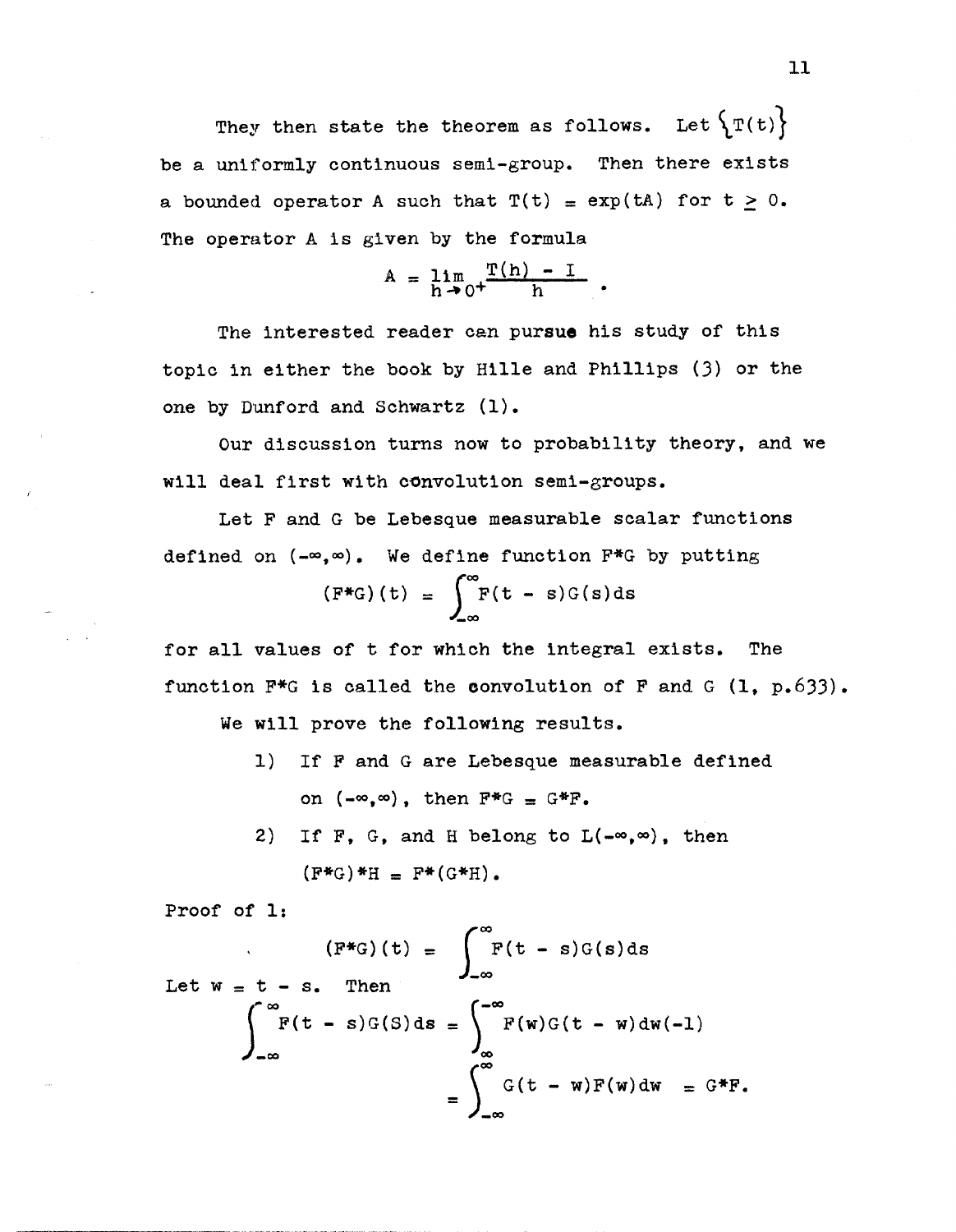They then state the theorem as follows. Let  $\{T(t)\}$ be a uniformly continuous semi-group. Then there exists a bounded operator A such that  $T(t) = exp(tA)$  for  $t \ge 0$ . The operator A is given by the formula

$$
A = \lim_{h \to 0^+} \frac{T(h) - I}{h}.
$$

The interested reader can pursue his study of this topic in either the book by Hille and Phillips (3) or the one by Dunford and Schwartz (1).

Our discussion turns now to probability theory, and we will deal first with convolution semi-groups.

Let F and G be Lebesque measurable scalar functions defined on  $(-\infty, \infty)$ . We define function F\*G by putting

$$
(F^*G)(t) = \int_{-\infty}^{\infty} F(t - s)G(s) ds
$$

for all values of t for which the integral exists. The function  $F*G$  is called the convolution of F and G (1, p.633).

We will prove the following results.

- 1) If F and G are Lebesque measurable defined on  $(-\infty,\infty)$ , then  $F^*G = G^*F$ .
- 2) If F, G, and H belong to  $L(-\infty,\infty)$ , then  $(F^*G)^*H = F^*(G^*H)$ .

Proof of 1:

$$
(F^*G)(t) = \int_{-\infty}^{\infty} F(t-s)G(s)ds
$$
  
Let  $w = t - s$ . Then  

$$
\int_{-\infty}^{\infty} F(t-s)G(S)ds = \int_{-\infty}^{\infty} F(w)G(t-w)dw(-1)
$$

$$
= \int_{-\infty}^{\infty} G(t-w)F(w)dw = G^*F.
$$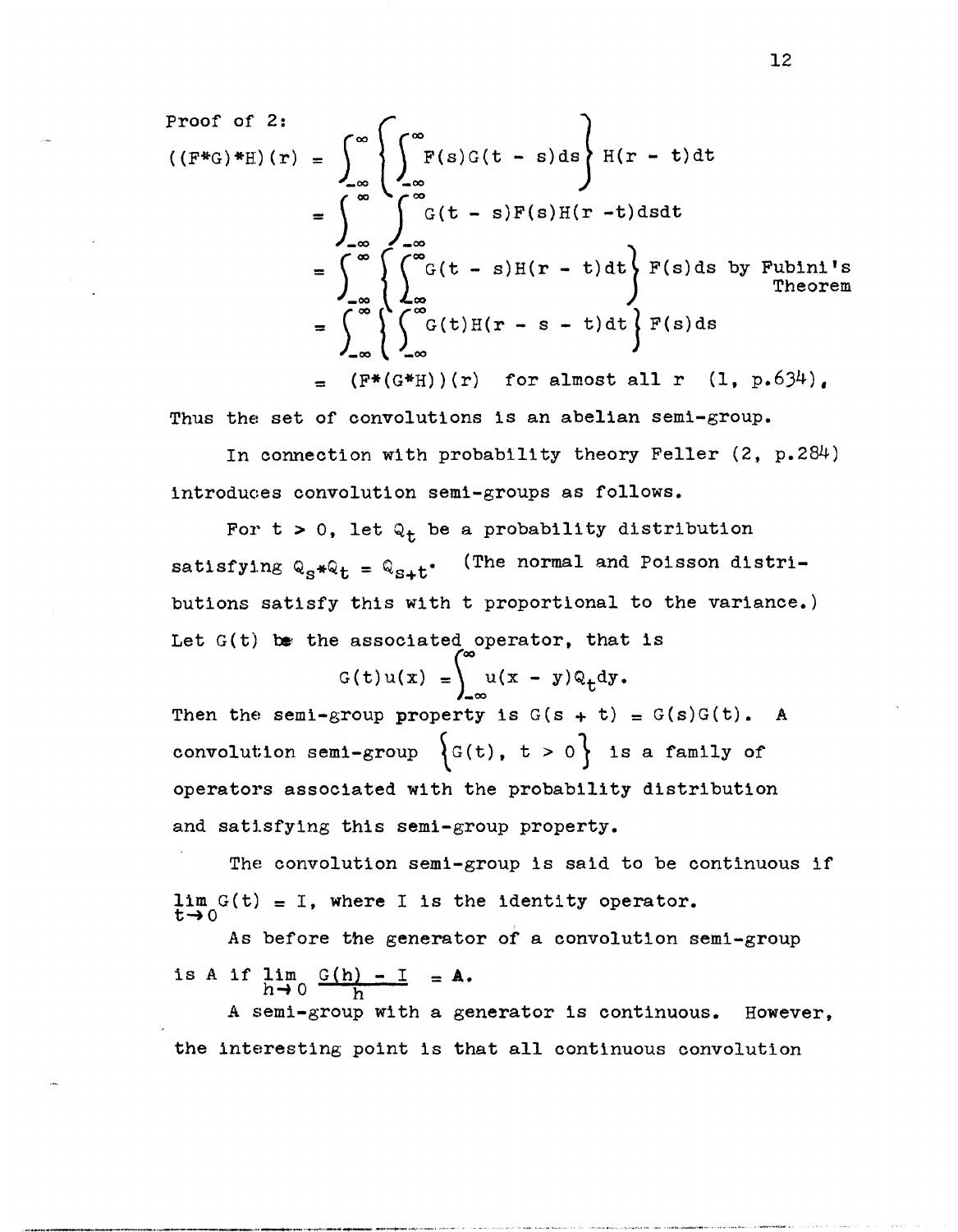Proof of 2:  
\n
$$
((F^*G)^*H)(r) = \int_{-\infty}^{\infty} \left\{ \int_{-\infty}^{\infty} F(s)G(t-s)ds \right\} H(r-t)dt
$$
  
\n
$$
= \int_{-\infty}^{\infty} \left\{ \int_{-\infty}^{\infty} G(t-s)F(s)H(r-t)dsdt \right\} F(s)ds \text{ by Fubini's Theorem}
$$
\n
$$
= \int_{-\infty}^{\infty} \left\{ \int_{-\infty}^{\infty} G(t)H(r-s-t)dt \right\} F(s)ds
$$
\n
$$
= (F^*(G^*H))(r) \text{ for almost all } r (1, p.634).
$$

Thus the set of convolutions is an abelian semi-group.

In connection with probability theory Feller (2, p.284) introduoes convolution semi-groups as follows.

For t > 0, let  $Q_t$  be a probability distribution (The normal and Poisson distrisatisfying  $Q_S*Q_t = Q_{S+t}$ . butions satisfy this with t proportlonal to the variance.) Let  $G(t)$  be the associated operator, that is

 $G(t)u(x) = \int_{0}^{\infty} u(x - y)Q_t dy.$ 

Then the semi-group property is  $G(s + t) = G(s)G(t)$ . A convolution semi-group  $\left\{ G(t), t > 0 \right\}$  is a family of operators associated with the probability distribution and satisfying this semi-group property.

The convolution semi-group is said to be continuous if  $\lim_{t\to 0} G(t) = I$ , where I is the identity operator.

As before the generator of a convolution semi-group is A if  $\lim_{h\to 0} \frac{G(h) - I}{h} = A$ .

A semi-group with a generator is continuous. However, the interesting point is that all continuous convolution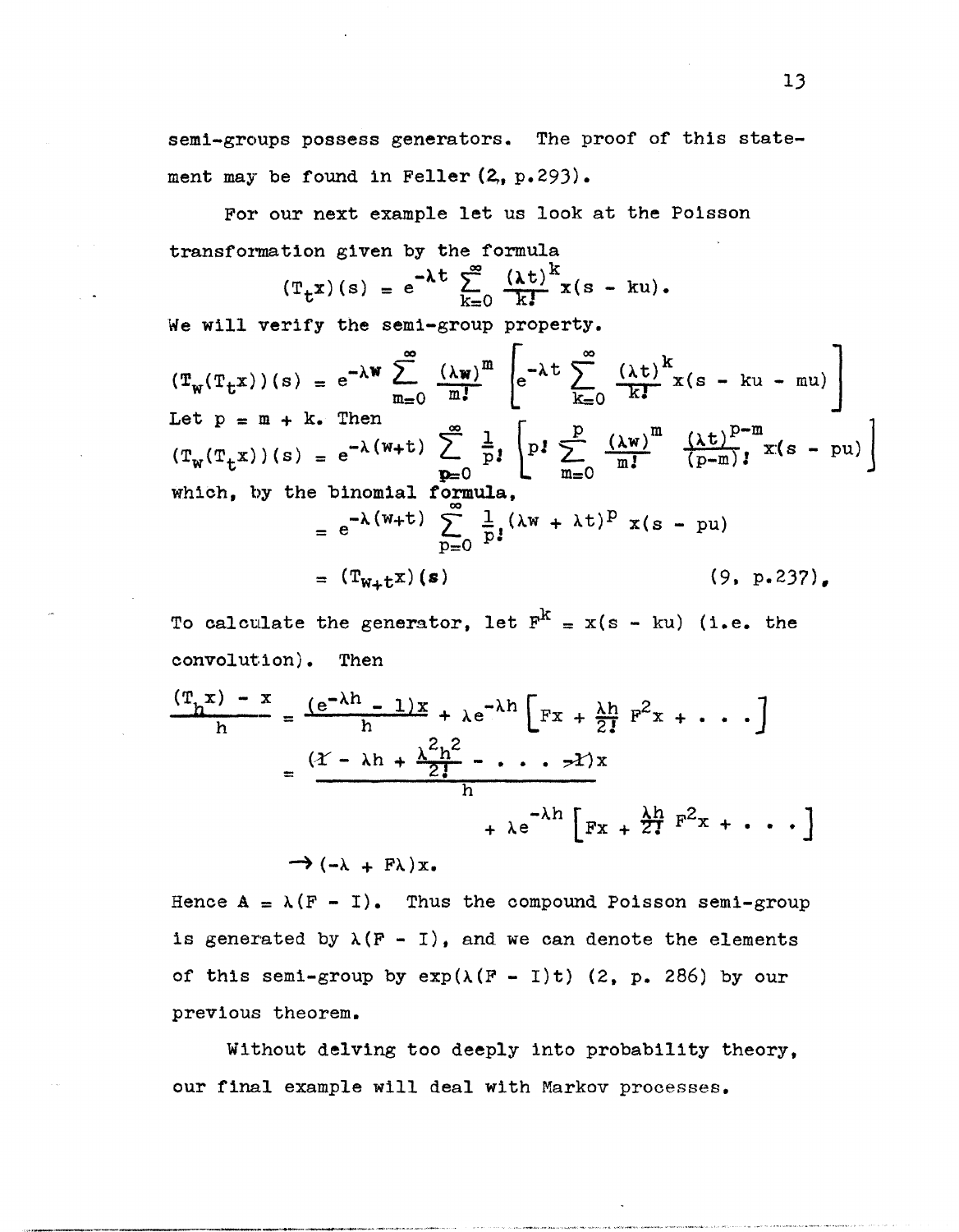semi-groups possess generators. The proof of this statement may be found in Feller  $(2, p.293)$ .

For our next example let us look at the Poisson transformation given by the formula

$$
(\mathbf{T}_{t} \mathbf{x}) (\mathbf{s}) = e^{-\lambda t} \sum_{k=0}^{\infty} \frac{(\lambda t)^{k}}{k!} \mathbf{x} (\mathbf{s} - k \mathbf{u}).
$$

We will verify the semi-group property.

$$
(\mathbf{T}_{\mathbf{w}}(\mathbf{T}_{t}\mathbf{x}))(s) = e^{-\lambda \mathbf{w}} \sum_{m=0}^{\infty} \frac{(\lambda \mathbf{w})^{m}}{m!} \left[ e^{-\lambda t} \sum_{k=0}^{\infty} \frac{(\lambda t)^{k}}{k!} x(s - ku - mu) \right]
$$
  
Let  $p = m + k$ . Then  

$$
(\mathbf{T}_{\mathbf{w}}(\mathbf{T}_{t}\mathbf{x}))(s) = e^{-\lambda(\mathbf{w} + t)} \sum_{p=0}^{\infty} \frac{1}{p!} \left[ p! \sum_{m=0}^{p} \frac{(\lambda \mathbf{w})^{m}}{m!} \frac{(\lambda t)^{p-m}}{(p-m)!} x(s - pu) \right]
$$
  
which, by the binomial formula,  

$$
= e^{-\lambda(\mathbf{w} + t)} \sum_{p=0}^{\infty} \frac{1}{p!} (\lambda \mathbf{w} + \lambda t)^{p} x(s - pu)
$$

$$
= (\mathbf{T}_{\mathbf{w} + t}\mathbf{x})(s) \qquad (9, p. 237),
$$

To calculate the generator, let  $F^{k} = x(s - ku)$  (i.e. the convolution). Then

$$
\frac{(\mathbf{T}_{h}\mathbf{x}) - \mathbf{x}}{h} = \frac{(e^{-\lambda h} - 1)\mathbf{x}}{h} + \lambda e^{-\lambda h} \left[ \mathbf{F}\mathbf{x} + \frac{\lambda h}{2!} \mathbf{F}^{2}\mathbf{x} + \cdots \right]
$$

$$
= \frac{(\mathbf{Y} - \lambda h + \frac{\lambda^{2}h^{2}}{2!} - \cdots \mathbf{Z})\mathbf{x}}{h}
$$

$$
+ \lambda e^{-\lambda h} \left[ \mathbf{F}\mathbf{x} + \frac{\lambda h}{2!} \mathbf{F}^{2}\mathbf{x} + \cdots \right]
$$

$$
\rightarrow (-\lambda + F\lambda)\mathbf{x}.
$$

Hence  $A = \lambda (F - I)$ . Thus the compound Poisson semi-group is generated by  $\lambda(F - I)$ , and we can denote the elements of this semi-group by  $exp(\lambda(F - I)t)$  (2, p. 286) by our previous theorem.

Without delving too deeply into probability theory, our final example will deal with Markov processes.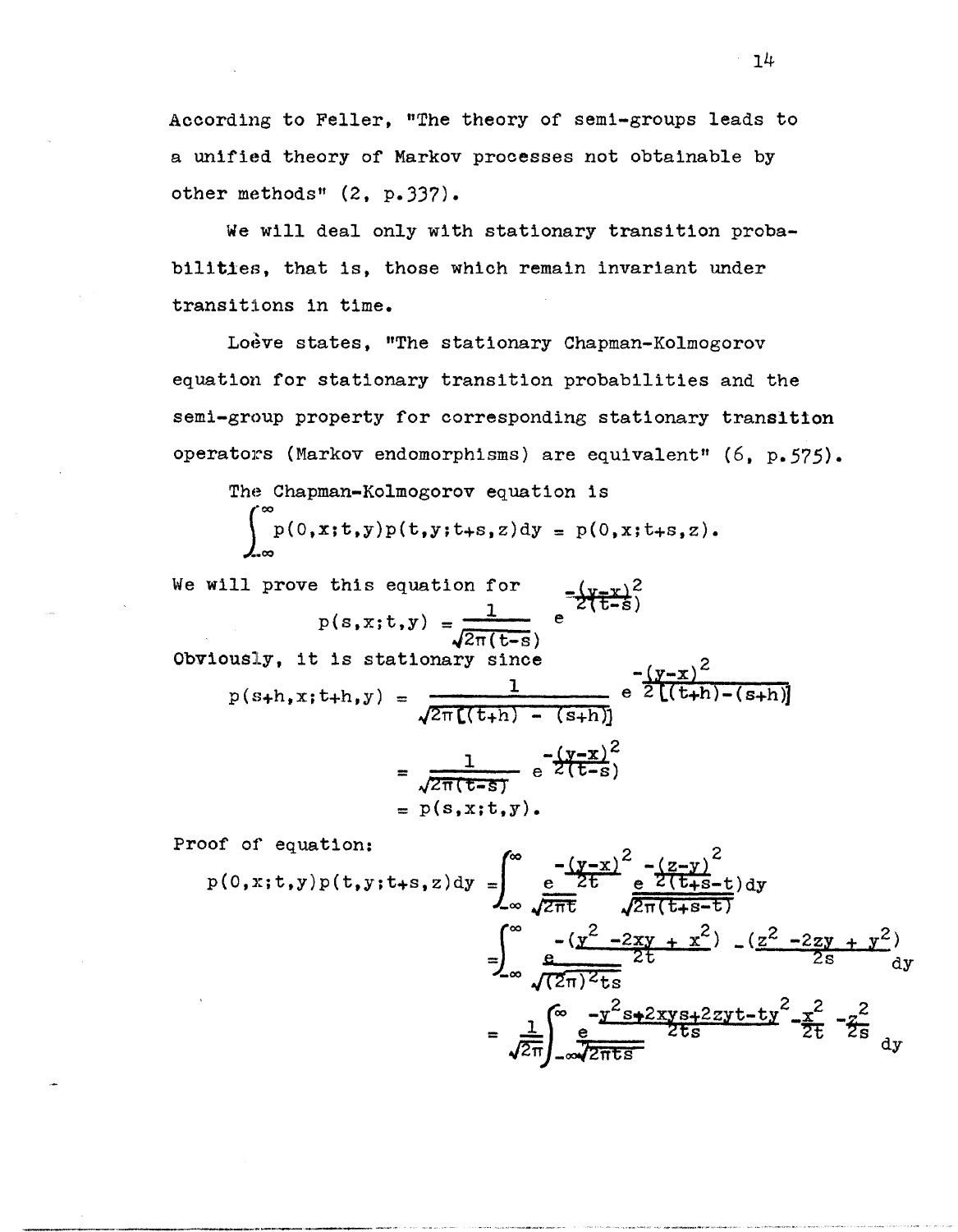According to Feller, "The theory of semi-groups leads to a unified theory of Markov processes not obtainable by other methods" (2, p.337).

We will deal only with stationary transition probabilities, that is, those which remain invariant under transitions in time.

Loève states, "The stationary Chapman-Kolmogorov equation for stationary transition probabilities and the semi-group property for corresponding stationary transition operators (Markov endomorphisms) are equivalent" (6, p.575).

The Chapman-Kolmogorov equation is

 $\int_{0}^{\infty} p(0, x; t, y)p(t, y; t+s, z)dy = p(0, x; t+s, z).$ 

We will prove this equation for  $-\frac{4x-x^2}{2x+25}$  $\lambda$ ,  $\lambda$ ,  $\lambda$ ,  $\lambda$ 

$$
p(s, x; t, y) = \frac{1}{\sqrt{2\pi(t-s)}}
$$
  
Obviously, it is stationary since  

$$
p(s+h, x; t+h, y) = \frac{1}{\sqrt{2\pi[(t+h) - (s+h)]}} e^{-\frac{(y-x)^{2}}{2[(t+h) - (s+h)]}}
$$

$$
= \frac{1}{\sqrt{2\pi(t-s)}} e^{-\frac{(y-x)^{2}}{2(t-s)}}
$$

$$
= p(s, x; t, y).
$$

Proof of equation:

-------\_.\_-

$$
p(0, x; t, y)p(t, y; t+s, z) dy = \int_{-\infty}^{\infty} \frac{e^{-\frac{(y-x)^{2}}{2t}}e^{-\frac{(z-y)^{2}}{2(t+s-t)}}dy}{\sqrt{2\pi t}} \frac{e^{-\frac{(y-x)^{2}}{2\pi(t+s-t)}}}{\sqrt{2\pi(t+s-t)}} - \frac{(z^{2}-2zy + y^{2})}{2s} dy
$$

$$
= \int_{-\infty}^{\infty} \frac{e^{-\frac{(y^{2}-2xy + x^{2})}{2t}}}{\sqrt{2\pi t}} \frac{e^{-\frac{y^{2}}{2t}+2xyz+2zyt-ty^{2}}}{2ts} - \frac{x^{2}}{2t} - \frac{z^{2}}{2s} dy
$$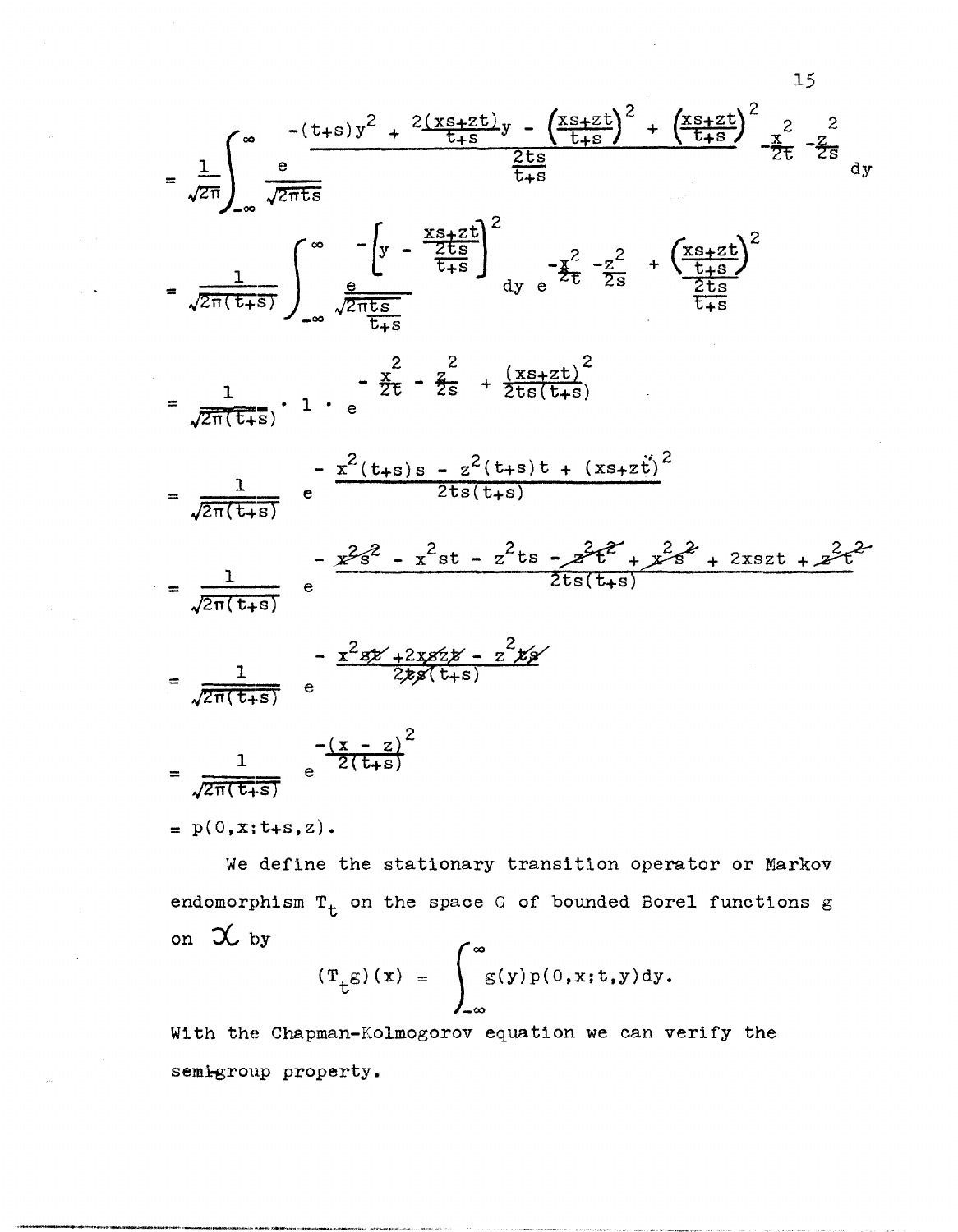$$
= \frac{1}{\sqrt{2\pi}} \int_{-\infty}^{\infty} \frac{-(t+s)y^{2} + 2\frac{(x+zt)}{t+s}y - (\frac{x+zt}{t+s})^{2} + (\frac{x+zt}{t+s})^{2}}{\frac{2ts}{t+s}} - \frac{z}{2t} - \frac{z}{2s} dy
$$
\n
$$
= \frac{1}{\sqrt{2\pi}(t+s)} \int_{-\infty}^{\infty} \frac{-\left(y - \frac{x+zt}{t+s}\right)^{2}}{\frac{2ts}{t+s}} dy - \frac{z^{2}}{2t} - \frac{z^{2}}{2s} + (\frac{x+zt}{t+s})^{2}}{\frac{2ts}{t+s}}
$$
\n
$$
= \frac{1}{\sqrt{2\pi}(t+s)} \cdot 1 - e^{-\frac{z^{2}}{2t} - \frac{z^{2}}{2s} + \frac{(xs+zt)^{2}}{2ts(t+s)}} - \frac{z^{2}}{2t} - \frac{z^{2}}{2s} + \frac{(xs+zt)^{2}}{2ts(t+s)}
$$
\n
$$
= \frac{1}{\sqrt{2\pi(t+s)}} - \frac{z^{2}(t+s)s - z^{2}(t+s)t + (xs+zt)^{2}}{2ts(t+s)}
$$
\n
$$
= \frac{1}{\sqrt{2\pi(t+s)}} - \frac{z^{2}z^{2} - x^{2}st - z^{2}ts - z^{2}t^{2} + z^{2}s^{2} + 2xszt + z^{2}t^{2}}{2ts(t+s)} - \frac{z^{2}z^{2} + 2xszt - z^{2}z^{2}}{2ts(t+s)}
$$
\n
$$
= \frac{1}{\sqrt{2\pi(t+s)}} - \frac{z^{2}z^{2} + 2xszt - z^{2}z^{2}}{2z^{2}z^{2}(t+s)}
$$
\n
$$
= \frac{1}{\sqrt{2\pi(t+s)}} - \frac{(-x-z)^{2}}{2(t+s)}
$$
\n
$$
= p(0, x; t+s, z).
$$

15

We define the stationary transition operator or Markov endomorphism  $T_t$  on the space G of bounded Borel functions  $g$ on  $\alpha$  by

$$
\left(\mathbf{T}_{\mathbf{t}}g\right)(x) = \int_{-\infty}^{\infty} g(y)p(0,x;t,y)dy.
$$

With the Chapman-Kolmogorov equation we can verify the semi-group property.

'->-----, .. -~----..""'-.--..... ,-"'.--~ .. -."..,...--,." .. , ""~".-.... -.-- -,"""-"-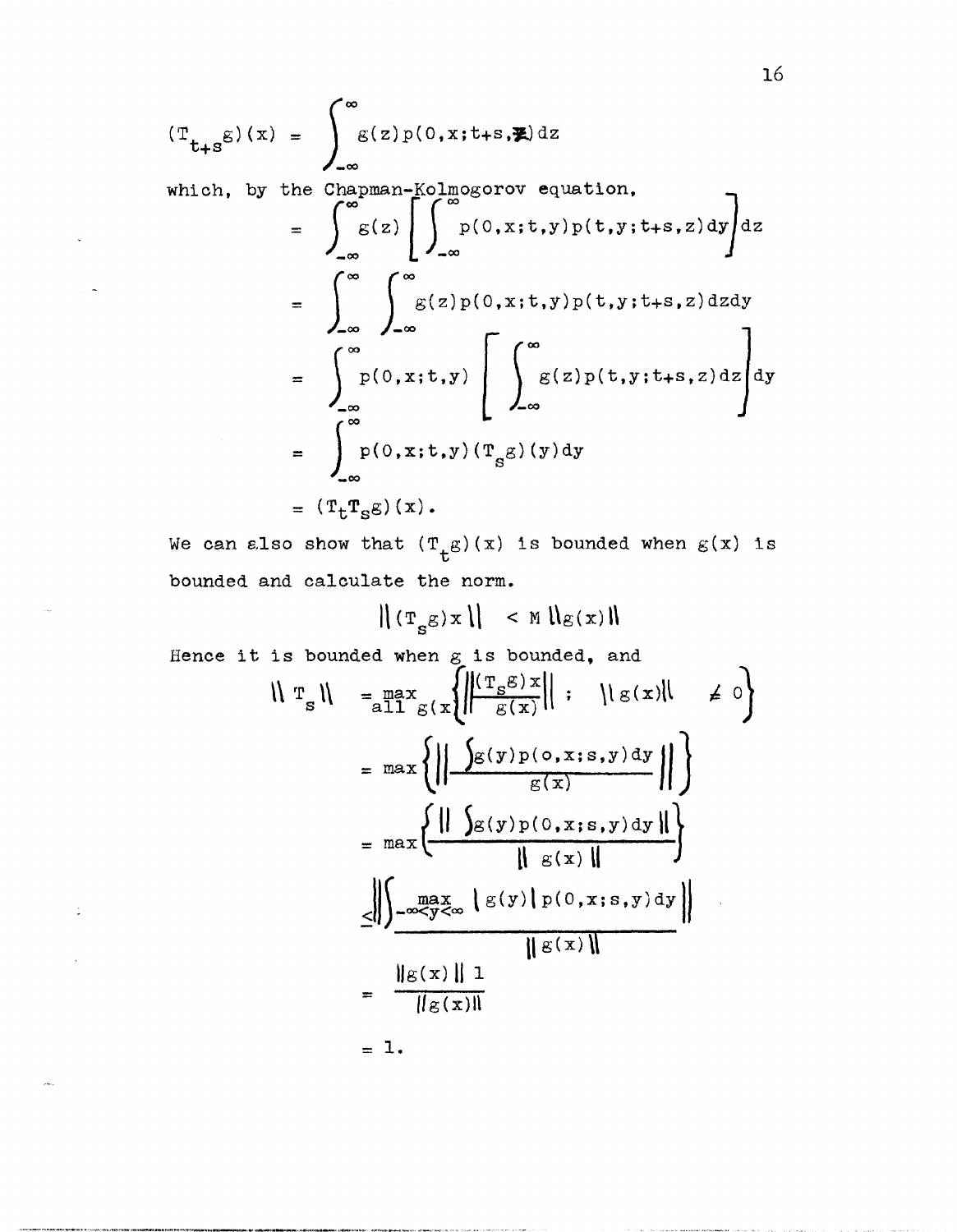$$
(\mathbf{T}_{t+s}g)(x) = \int_{-\infty}^{\infty} g(z)p(0, x; t+s, \mathbf{X}) dz
$$
  
\nwhich, by the Chapman-Kolmogorov equation,  
\n
$$
= \int_{-\infty}^{\infty} g(z) \left[ \int_{-\infty}^{\infty} p(0, x; t, y)p(t, y; t+s, z) dy \right] dz
$$
  
\n
$$
= \int_{-\infty}^{\infty} \int_{-\infty}^{\infty} g(z)p(0, x; t, y)p(t, y; t+s, z) dz dy
$$
  
\n
$$
= \int_{-\infty}^{\infty} p(0, x; t, y) \left[ \int_{-\infty}^{\infty} g(z)p(t, y; t+s, z) dz \right] dy
$$
  
\n
$$
= \int_{-\infty}^{\infty} p(0, x; t, y) (\mathbf{T}_s g)(y) dy
$$
  
\n
$$
= (\mathbf{T}_t \mathbf{T}_s g)(x).
$$

16

We can also show that  $(T_t g)(x)$  is bounded when  $g(x)$  is bounded and calculate the norm.

$$
\| \left( \mathbf{T_g} \mathbf{g} \right) \mathbf{x} \| \leq \mathbb{M} \| \mathbf{g}(\mathbf{x}) \|
$$

Hence it is bounded when  $g$  is bounded, and

$$
\|\mathbf{T}_{s}\| = \max_{\mathbf{a} \in \mathbb{R}^{d}} \left\{ \left\| \frac{(\mathbf{T}_{s} \mathbf{g}) \mathbf{x}}{\mathbf{g}(\mathbf{x})} \right\| : \|\mathbf{g}(\mathbf{x})\| \neq 0 \right\}
$$

$$
= \max \left\{ \left\| \frac{\int_{\mathbf{g}(\mathbf{y}) \mathbf{p}(\mathbf{o}, \mathbf{x}; \mathbf{s}, \mathbf{y}) d\mathbf{y}}{\mathbf{g}(\mathbf{x})} \right\|}{\|\mathbf{g}(\mathbf{x})\|} \right\}
$$

$$
= \max \left\{ \frac{\|\int_{\mathbf{g}(\mathbf{y}) \mathbf{p}(\mathbf{o}, \mathbf{x}; \mathbf{s}, \mathbf{y}) d\mathbf{y}}{\|\mathbf{g}(\mathbf{x})\|} \right\}
$$

$$
\leq \left\| \int_{-\infty}^{\infty} \frac{\mathbf{a} \mathbf{x}}{\mathbf{y}^2} \left\{ \mathbf{g}(\mathbf{y}) \left[ \mathbf{p}(\mathbf{o}, \mathbf{x}; \mathbf{s}, \mathbf{y}) d\mathbf{y} \right] \right\}
$$

$$
= \frac{\|\mathbf{g}(\mathbf{x})\| \mathbf{1}}{\|\mathbf{g}(\mathbf{x})\|}
$$

 $= 1.$ 

 $\mathbb{I}$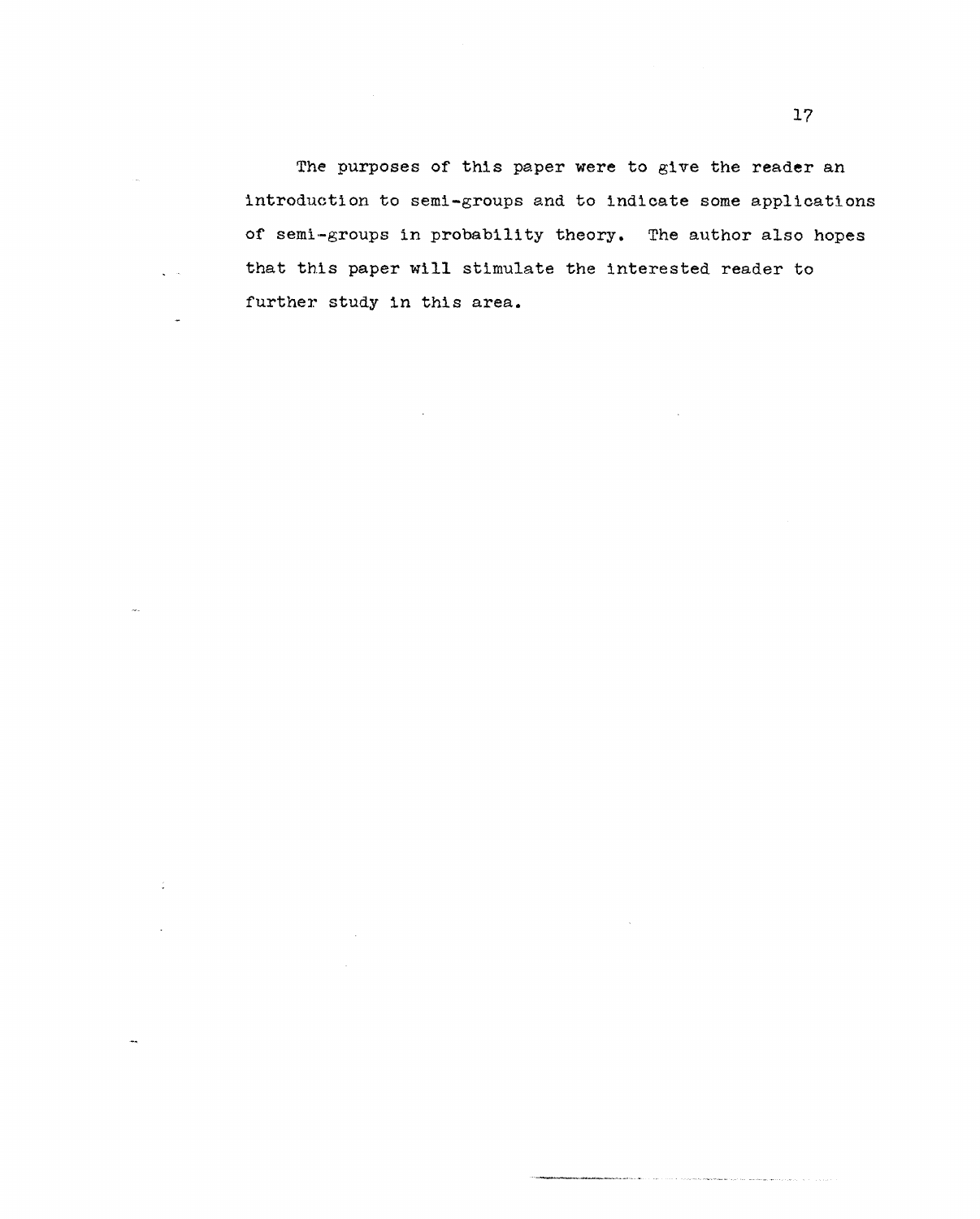The purposes of this paper were to give the reader an introduction to semi-groups and to indicate some applications of semi-groups in probability theory. The author also hopes that this paper will stimulate the interested reader to further study in this area.

÷.